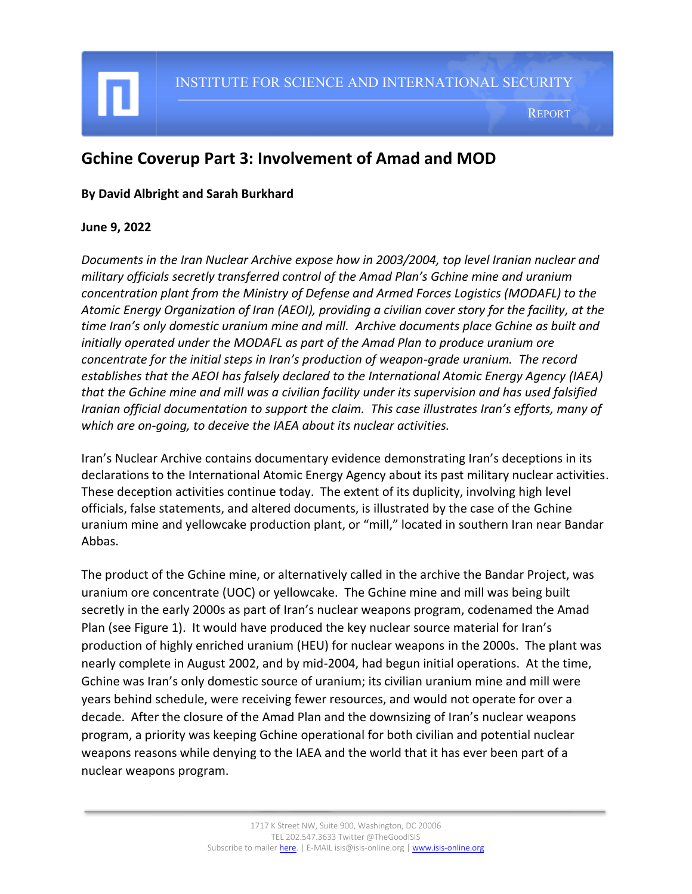# **Gchine Coverup Part 3: Involvement of Amad and MOD**

#### **By David Albright and Sarah Burkhard**

#### **June 9, 2022**

I

*Documents in the Iran Nuclear Archive expose how in 2003/2004, top level Iranian nuclear and military officials secretly transferred control of the Amad Plan's Gchine mine and uranium concentration plant from the Ministry of Defense and Armed Forces Logistics (MODAFL) to the Atomic Energy Organization of Iran (AEOI), providing a civilian cover story for the facility, at the time Iran's only domestic uranium mine and mill. Archive documents place Gchine as built and initially operated under the MODAFL as part of the Amad Plan to produce uranium ore concentrate for the initial steps in Iran's production of weapon-grade uranium. The record establishes that the AEOI has falsely declared to the International Atomic Energy Agency (IAEA) that the Gchine mine and mill was a civilian facility under its supervision and has used falsified Iranian official documentation to support the claim. This case illustrates Iran's efforts, many of which are on-going, to deceive the IAEA about its nuclear activities.*

Iran's Nuclear Archive contains documentary evidence demonstrating Iran's deceptions in its declarations to the International Atomic Energy Agency about its past military nuclear activities. These deception activities continue today. The extent of its duplicity, involving high level officials, false statements, and altered documents, is illustrated by the case of the Gchine uranium mine and yellowcake production plant, or "mill," located in southern Iran near Bandar Abbas.

The product of the Gchine mine, or alternatively called in the archive the Bandar Project, was uranium ore concentrate (UOC) or yellowcake. The Gchine mine and mill was being built secretly in the early 2000s as part of Iran's nuclear weapons program, codenamed the Amad Plan (see Figure 1). It would have produced the key nuclear source material for Iran's production of highly enriched uranium (HEU) for nuclear weapons in the 2000s. The plant was nearly complete in August 2002, and by mid-2004, had begun initial operations. At the time, Gchine was Iran's only domestic source of uranium; its civilian uranium mine and mill were years behind schedule, were receiving fewer resources, and would not operate for over a decade. After the closure of the Amad Plan and the downsizing of Iran's nuclear weapons program, a priority was keeping Gchine operational for both civilian and potential nuclear weapons reasons while denying to the IAEA and the world that it has ever been part of a nuclear weapons program.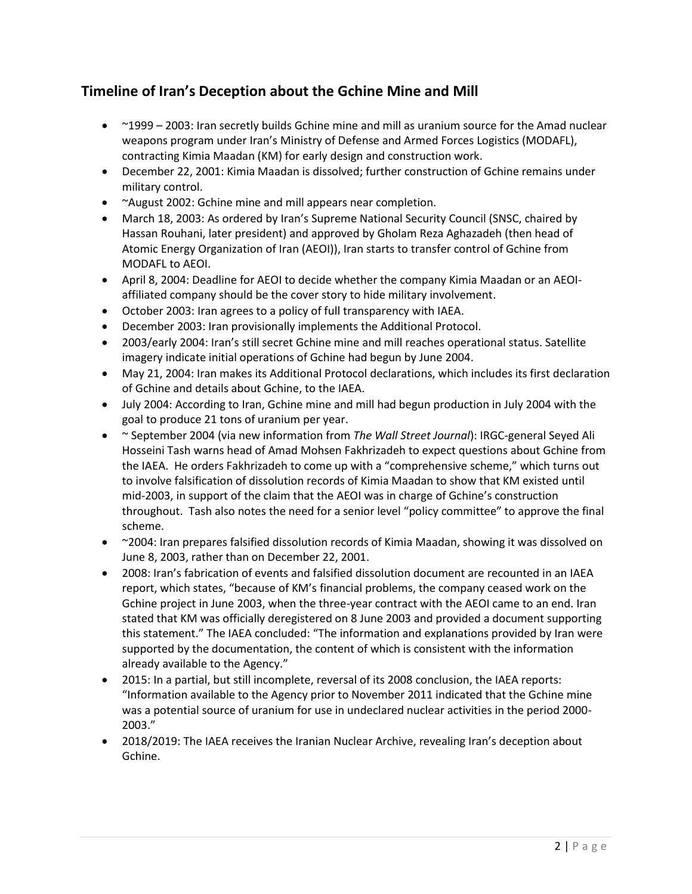# **Timeline of Iran's Deception about the Gchine Mine and Mill**

- ~1999 2003: Iran secretly builds Gchine mine and mill as uranium source for the Amad nuclear weapons program under Iran's Ministry of Defense and Armed Forces Logistics (MODAFL), contracting Kimia Maadan (KM) for early design and construction work.
- December 22, 2001: Kimia Maadan is dissolved; further construction of Gchine remains under military control.
- ~August 2002: Gchine mine and mill appears near completion.
- March 18, 2003: As ordered by Iran's Supreme National Security Council (SNSC, chaired by Hassan Rouhani, later president) and approved by Gholam Reza Aghazadeh (then head of Atomic Energy Organization of Iran (AEOI)), Iran starts to transfer control of Gchine from MODAFL to AEOI.
- April 8, 2004: Deadline for AEOI to decide whether the company Kimia Maadan or an AEOIaffiliated company should be the cover story to hide military involvement.
- October 2003: Iran agrees to a policy of full transparency with IAEA.
- December 2003: Iran provisionally implements the Additional Protocol.
- 2003/early 2004: Iran's still secret Gchine mine and mill reaches operational status. Satellite imagery indicate initial operations of Gchine had begun by June 2004.
- May 21, 2004: Iran makes its Additional Protocol declarations, which includes its first declaration of Gchine and details about Gchine, to the IAEA.
- July 2004: According to Iran, Gchine mine and mill had begun production in July 2004 with the goal to produce 21 tons of uranium per year.
- ~ September 2004 (via new information from *The Wall Street Journal*): IRGC-general Seyed Ali Hosseini Tash warns head of Amad Mohsen Fakhrizadeh to expect questions about Gchine from the IAEA. He orders Fakhrizadeh to come up with a "comprehensive scheme," which turns out to involve falsification of dissolution records of Kimia Maadan to show that KM existed until mid-2003, in support of the claim that the AEOI was in charge of Gchine's construction throughout. Tash also notes the need for a senior level "policy committee" to approve the final scheme.
- ~2004: Iran prepares falsified dissolution records of Kimia Maadan, showing it was dissolved on June 8, 2003, rather than on December 22, 2001.
- 2008: Iran's fabrication of events and falsified dissolution document are recounted in an IAEA report, which states, "because of KM's financial problems, the company ceased work on the Gchine project in June 2003, when the three-year contract with the AEOI came to an end. Iran stated that KM was officially deregistered on 8 June 2003 and provided a document supporting this statement." The IAEA concluded: "The information and explanations provided by Iran were supported by the documentation, the content of which is consistent with the information already available to the Agency."
- 2015: In a partial, but still incomplete, reversal of its 2008 conclusion, the IAEA reports: "Information available to the Agency prior to November 2011 indicated that the Gchine mine was a potential source of uranium for use in undeclared nuclear activities in the period 2000- 2003."
- 2018/2019: The IAEA receives the Iranian Nuclear Archive, revealing Iran's deception about Gchine.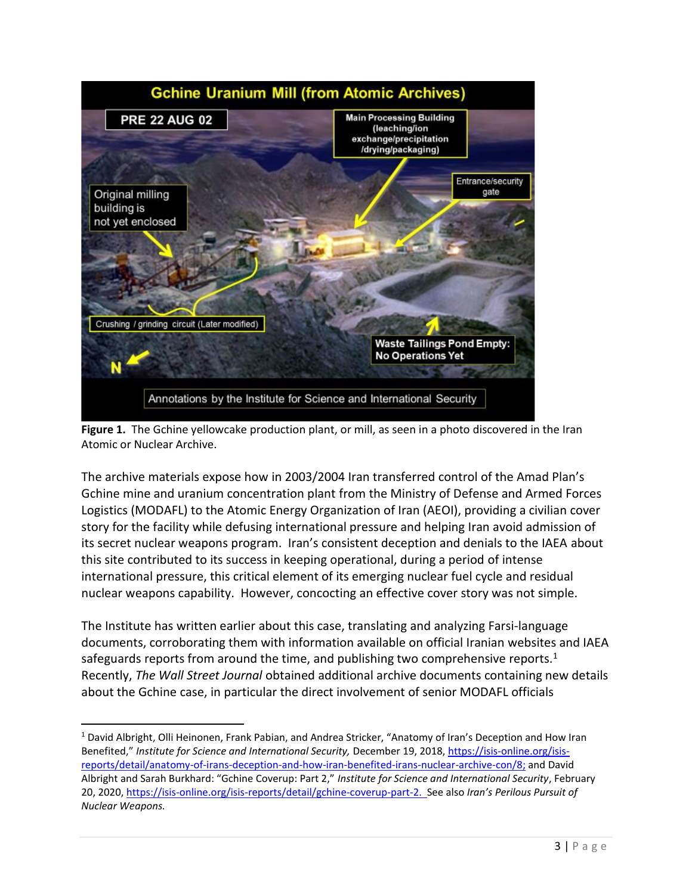

**Figure 1.** The Gchine yellowcake production plant, or mill, as seen in a photo discovered in the Iran Atomic or Nuclear Archive.

The archive materials expose how in 2003/2004 Iran transferred control of the Amad Plan's Gchine mine and uranium concentration plant from the Ministry of Defense and Armed Forces Logistics (MODAFL) to the Atomic Energy Organization of Iran (AEOI), providing a civilian cover story for the facility while defusing international pressure and helping Iran avoid admission of its secret nuclear weapons program. Iran's consistent deception and denials to the IAEA about this site contributed to its success in keeping operational, during a period of intense international pressure, this critical element of its emerging nuclear fuel cycle and residual nuclear weapons capability. However, concocting an effective cover story was not simple.

The Institute has written earlier about this case, translating and analyzing Farsi-language documents, corroborating them with information available on official Iranian websites and IAEA safeguards reports from around the time, and publishing two comprehensive reports.<sup>1</sup> Recently, *The Wall Street Journal* obtained additional archive documents containing new details about the Gchine case, in particular the direct involvement of senior MODAFL officials

<sup>1</sup> David Albright, Olli Heinonen, Frank Pabian, and Andrea Stricker, "Anatomy of Iran's Deception and How Iran Benefited," *Institute for Science and International Security,* December 19, 2018[, https://isis-online.org/isis](https://isis-online.org/isis-reports/detail/anatomy-of-irans-deception-and-how-iran-benefited-irans-nuclear-archive-con/8)[reports/detail/anatomy-of-irans-deception-and-how-iran-benefited-irans-nuclear-archive-con/8;](https://isis-online.org/isis-reports/detail/anatomy-of-irans-deception-and-how-iran-benefited-irans-nuclear-archive-con/8) and David Albright and Sarah Burkhard: "Gchine Coverup: Part 2," *Institute for Science and International Security*, February 20, 2020, [https://isis-online.org/isis-reports/detail/gchine-coverup-part-2.](https://isis-online.org/isis-reports/detail/gchine-coverup-part-2) See also *Iran's Perilous Pursuit of Nuclear Weapons.*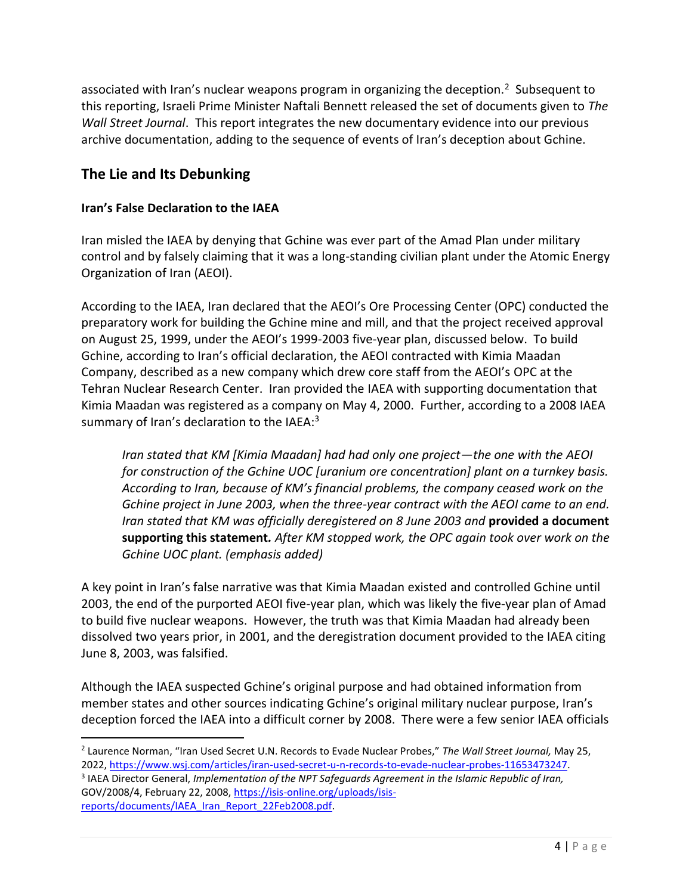associated with Iran's nuclear weapons program in organizing the deception.<sup>2</sup> Subsequent to this reporting, Israeli Prime Minister Naftali Bennett released the set of documents given to *The Wall Street Journal*. This report integrates the new documentary evidence into our previous archive documentation, adding to the sequence of events of Iran's deception about Gchine.

## **The Lie and Its Debunking**

## **Iran's False Declaration to the IAEA**

Iran misled the IAEA by denying that Gchine was ever part of the Amad Plan under military control and by falsely claiming that it was a long-standing civilian plant under the Atomic Energy Organization of Iran (AEOI).

According to the IAEA, Iran declared that the AEOI's Ore Processing Center (OPC) conducted the preparatory work for building the Gchine mine and mill, and that the project received approval on August 25, 1999, under the AEOI's 1999-2003 five-year plan, discussed below. To build Gchine, according to Iran's official declaration, the AEOI contracted with Kimia Maadan Company, described as a new company which drew core staff from the AEOI's OPC at the Tehran Nuclear Research Center. Iran provided the IAEA with supporting documentation that Kimia Maadan was registered as a company on May 4, 2000. Further, according to a 2008 IAEA summary of Iran's declaration to the IAEA:<sup>3</sup>

*Iran stated that KM [Kimia Maadan] had had only one project—the one with the AEOI for construction of the Gchine UOC [uranium ore concentration] plant on a turnkey basis. According to Iran, because of KM's financial problems, the company ceased work on the Gchine project in June 2003, when the three-year contract with the AEOI came to an end. Iran stated that KM was officially deregistered on 8 June 2003 and* **provided a document supporting this statement***. After KM stopped work, the OPC again took over work on the Gchine UOC plant. (emphasis added)*

A key point in Iran's false narrative was that Kimia Maadan existed and controlled Gchine until 2003, the end of the purported AEOI five-year plan, which was likely the five-year plan of Amad to build five nuclear weapons. However, the truth was that Kimia Maadan had already been dissolved two years prior, in 2001, and the deregistration document provided to the IAEA citing June 8, 2003, was falsified.

Although the IAEA suspected Gchine's original purpose and had obtained information from member states and other sources indicating Gchine's original military nuclear purpose, Iran's deception forced the IAEA into a difficult corner by 2008. There were a few senior IAEA officials

<sup>2</sup> Laurence Norman, "Iran Used Secret U.N. Records to Evade Nuclear Probes," *The Wall Street Journal,* May 25, 2022, [https://www.wsj.com/articles/iran-used-secret-u-n-records-to-evade-nuclear-probes-11653473247.](https://www.wsj.com/articles/iran-used-secret-u-n-records-to-evade-nuclear-probes-11653473247) <sup>3</sup> IAEA Director General, *Implementation of the NPT Safeguards Agreement in the Islamic Republic of Iran,* GOV/2008/4, February 22, 2008, [https://isis-online.org/uploads/isis](https://isis-online.org/uploads/isis-reports/documents/IAEA_Iran_Report_22Feb2008.pdf)[reports/documents/IAEA\\_Iran\\_Report\\_22Feb2008.pdf.](https://isis-online.org/uploads/isis-reports/documents/IAEA_Iran_Report_22Feb2008.pdf)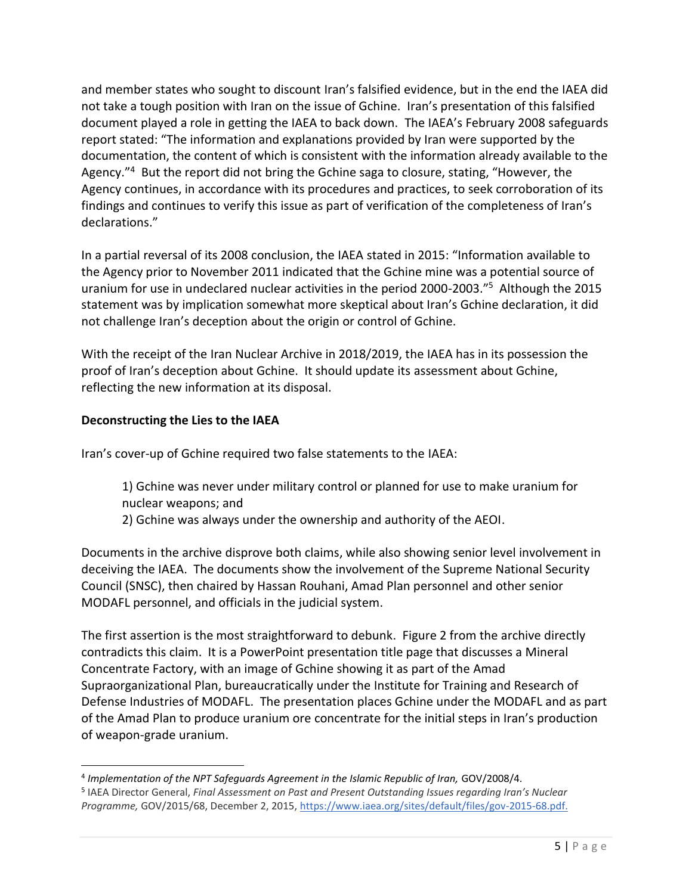and member states who sought to discount Iran's falsified evidence, but in the end the IAEA did not take a tough position with Iran on the issue of Gchine. Iran's presentation of this falsified document played a role in getting the IAEA to back down. The IAEA's February 2008 safeguards report stated: "The information and explanations provided by Iran were supported by the documentation, the content of which is consistent with the information already available to the Agency."<sup>4</sup> But the report did not bring the Gchine saga to closure, stating, "However, the Agency continues, in accordance with its procedures and practices, to seek corroboration of its findings and continues to verify this issue as part of verification of the completeness of Iran's declarations."

In a partial reversal of its 2008 conclusion, the IAEA stated in 2015: "Information available to the Agency prior to November 2011 indicated that the Gchine mine was a potential source of uranium for use in undeclared nuclear activities in the period 2000-2003."<sup>5</sup> Although the 2015 statement was by implication somewhat more skeptical about Iran's Gchine declaration, it did not challenge Iran's deception about the origin or control of Gchine.

With the receipt of the Iran Nuclear Archive in 2018/2019, the IAEA has in its possession the proof of Iran's deception about Gchine. It should update its assessment about Gchine, reflecting the new information at its disposal.

## **Deconstructing the Lies to the IAEA**

Iran's cover-up of Gchine required two false statements to the IAEA:

- 1) Gchine was never under military control or planned for use to make uranium for nuclear weapons; and
- 2) Gchine was always under the ownership and authority of the AEOI.

Documents in the archive disprove both claims, while also showing senior level involvement in deceiving the IAEA. The documents show the involvement of the Supreme National Security Council (SNSC), then chaired by Hassan Rouhani, Amad Plan personnel and other senior MODAFL personnel, and officials in the judicial system.

The first assertion is the most straightforward to debunk. Figure 2 from the archive directly contradicts this claim. It is a PowerPoint presentation title page that discusses a Mineral Concentrate Factory, with an image of Gchine showing it as part of the Amad Supraorganizational Plan, bureaucratically under the Institute for Training and Research of Defense Industries of MODAFL. The presentation places Gchine under the MODAFL and as part of the Amad Plan to produce uranium ore concentrate for the initial steps in Iran's production of weapon-grade uranium.

<sup>&</sup>lt;sup>4</sup> Implementation of the NPT Safeguards Agreement in the Islamic Republic of Iran, GOV/2008/4.

<sup>5</sup> IAEA Director General, *Final Assessment on Past and Present Outstanding Issues regarding Iran's Nuclear Programme,* GOV/2015/68, December 2, 2015, [https://www.iaea.org/sites/default/files/gov-2015-68.pdf.](https://www.iaea.org/sites/default/files/gov-2015-68.pdf)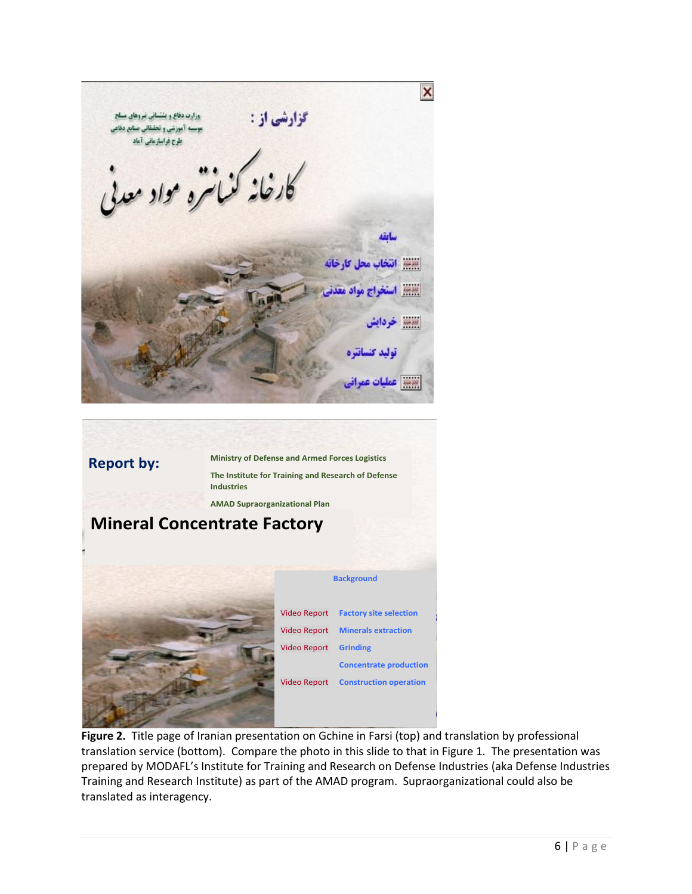

# **Background** Video Report **Factory site selection** Video Report **Minerals extraction** Video Report **Grinding Concentrate production** Video Report **Construction operation Report by: Ministry of Defense and Armed Forces Logistics The Institute for Training and Research of Defense Industries AMAD Supraorganizational Plan Mineral Concentrate Factory**

**Figure 2.** Title page of Iranian presentation on Gchine in Farsi (top) and translation by professional translation service (bottom). Compare the photo in this slide to that in Figure 1. The presentation was prepared by MODAFL's Institute for Training and Research on Defense Industries (aka Defense Industries Training and Research Institute) as part of the AMAD program. Supraorganizational could also be translated as interagency.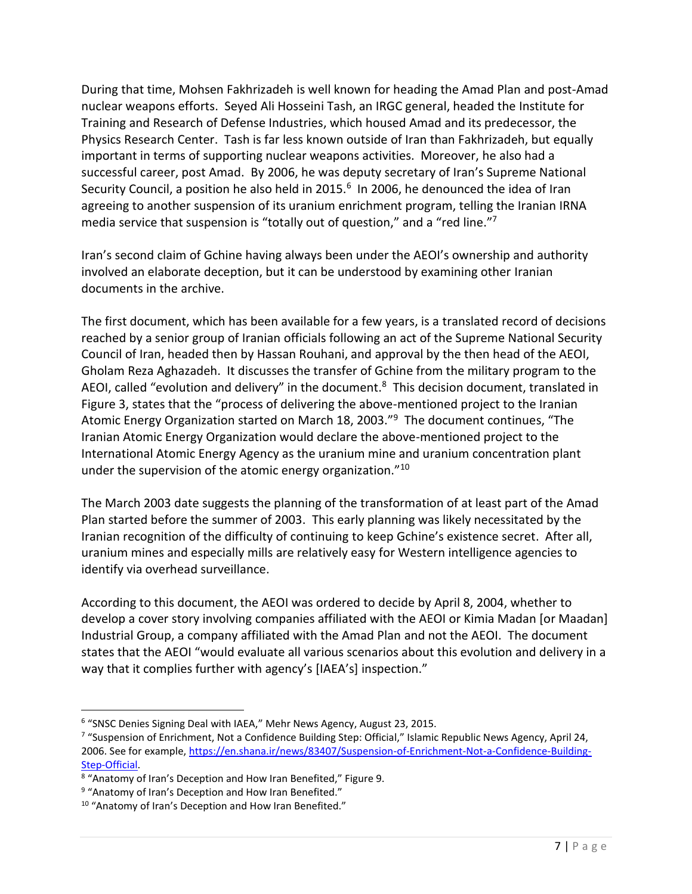During that time, Mohsen Fakhrizadeh is well known for heading the Amad Plan and post-Amad nuclear weapons efforts. Seyed Ali Hosseini Tash, an IRGC general, headed the Institute for Training and Research of Defense Industries, which housed Amad and its predecessor, the Physics Research Center. Tash is far less known outside of Iran than Fakhrizadeh, but equally important in terms of supporting nuclear weapons activities. Moreover, he also had a successful career, post Amad. By 2006, he was deputy secretary of Iran's Supreme National Security Council, a position he also held in 2015. $^6$  In 2006, he denounced the idea of Iran agreeing to another suspension of its uranium enrichment program, telling the Iranian IRNA media service that suspension is "totally out of question," and a "red line."<sup>7</sup>

Iran's second claim of Gchine having always been under the AEOI's ownership and authority involved an elaborate deception, but it can be understood by examining other Iranian documents in the archive.

The first document, which has been available for a few years, is a translated record of decisions reached by a senior group of Iranian officials following an act of the Supreme National Security Council of Iran, headed then by Hassan Rouhani, and approval by the then head of the AEOI, Gholam Reza Aghazadeh. It discusses the transfer of Gchine from the military program to the AEOI, called "evolution and delivery" in the document.<sup>8</sup> This decision document, translated in Figure 3, states that the "process of delivering the above-mentioned project to the Iranian Atomic Energy Organization started on March 18, 2003."<sup>9</sup> The document continues, "The Iranian Atomic Energy Organization would declare the above-mentioned project to the International Atomic Energy Agency as the uranium mine and uranium concentration plant under the supervision of the atomic energy organization."<sup>10</sup>

The March 2003 date suggests the planning of the transformation of at least part of the Amad Plan started before the summer of 2003. This early planning was likely necessitated by the Iranian recognition of the difficulty of continuing to keep Gchine's existence secret. After all, uranium mines and especially mills are relatively easy for Western intelligence agencies to identify via overhead surveillance.

According to this document, the AEOI was ordered to decide by April 8, 2004, whether to develop a cover story involving companies affiliated with the AEOI or Kimia Madan [or Maadan] Industrial Group, a company affiliated with the Amad Plan and not the AEOI. The document states that the AEOI "would evaluate all various scenarios about this evolution and delivery in a way that it complies further with agency's [IAEA's] inspection."

<sup>&</sup>lt;sup>6</sup> "SNSC Denies Signing Deal with IAEA," Mehr News Agency, August 23, 2015.

<sup>&</sup>lt;sup>7</sup> "Suspension of Enrichment, Not a Confidence Building Step: Official," Islamic Republic News Agency, April 24, 2006. See for example, [https://en.shana.ir/news/83407/Suspension-of-Enrichment-Not-a-Confidence-Building-](https://en.shana.ir/news/83407/Suspension-of-Enrichment-Not-a-Confidence-Building-Step-Official)[Step-Official.](https://en.shana.ir/news/83407/Suspension-of-Enrichment-Not-a-Confidence-Building-Step-Official)

<sup>&</sup>lt;sup>8</sup> "Anatomy of Iran's Deception and How Iran Benefited," Figure 9.

<sup>&</sup>lt;sup>9</sup> "Anatomy of Iran's Deception and How Iran Benefited."

<sup>&</sup>lt;sup>10</sup> "Anatomy of Iran's Deception and How Iran Benefited."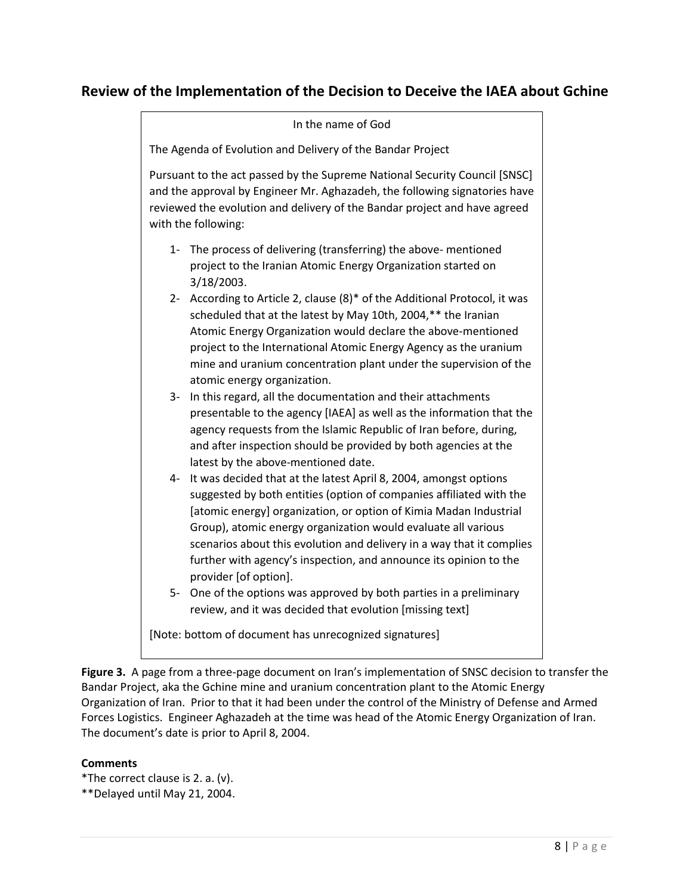## **Review of the Implementation of the Decision to Deceive the IAEA about Gchine**

In the name of God The Agenda of Evolution and Delivery of the Bandar Project Pursuant to the act passed by the Supreme National Security Council [SNSC] and the approval by Engineer Mr. Aghazadeh, the following signatories have reviewed the evolution and delivery of the Bandar project and have agreed with the following: 1- The process of delivering (transferring) the above- mentioned project to the Iranian Atomic Energy Organization started on 3/18/2003. 2- According to Article 2, clause (8)\* of the Additional Protocol, it was scheduled that at the latest by May 10th, 2004,\*\* the Iranian Atomic Energy Organization would declare the above-mentioned project to the International Atomic Energy Agency as the uranium mine and uranium concentration plant under the supervision of the atomic energy organization. 3- In this regard, all the documentation and their attachments presentable to the agency [IAEA] as well as the information that the agency requests from the Islamic Republic of Iran before, during, and after inspection should be provided by both agencies at the latest by the above-mentioned date. 4- It was decided that at the latest April 8, 2004, amongst options suggested by both entities (option of companies affiliated with the [atomic energy] organization, or option of Kimia Madan Industrial Group), atomic energy organization would evaluate all various scenarios about this evolution and delivery in a way that it complies further with agency's inspection, and announce its opinion to the provider [of option]. 5- One of the options was approved by both parties in a preliminary review, and it was decided that evolution [missing text] [Note: bottom of document has unrecognized signatures]

**Figure 3.** A page from a three-page document on Iran's implementation of SNSC decision to transfer the Bandar Project, aka the Gchine mine and uranium concentration plant to the Atomic Energy Organization of Iran. Prior to that it had been under the control of the Ministry of Defense and Armed Forces Logistics. Engineer Aghazadeh at the time was head of the Atomic Energy Organization of Iran. The document's date is prior to April 8, 2004.

#### **Comments**

\*The correct clause is 2. a. (v). \*\*Delayed until May 21, 2004.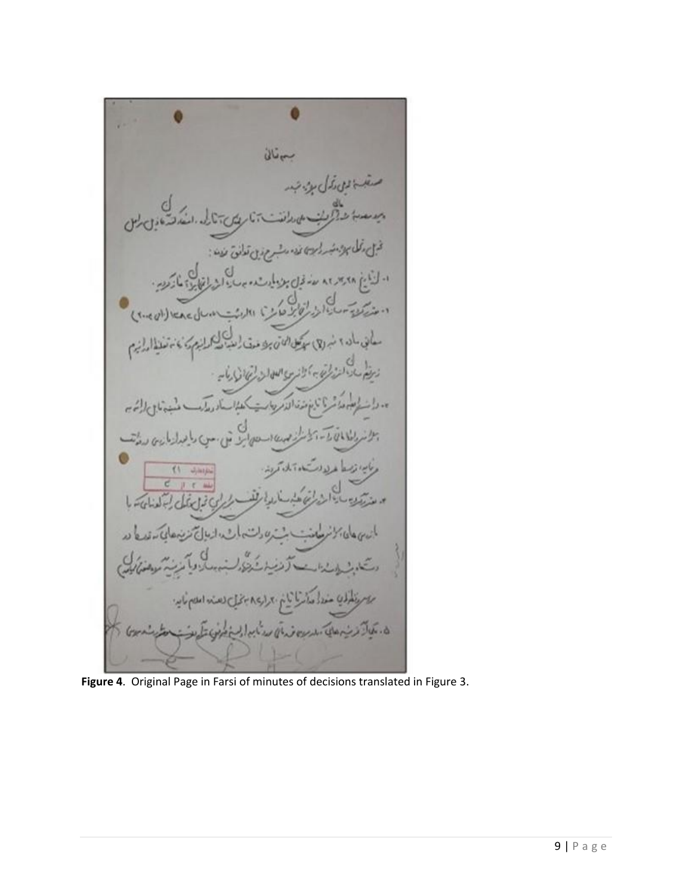$\partial U_{\tau}$ بالمعادلة والمائة q (Suevillencilla ماشر بأناء مذقالاته  $1/100$ O برا ذهنا غرلان  $(1 - J)$ ingini mi العنابد بارت اهنشا يُطْلِكِ مَعْدَلُه مِنْ مِنْ يَامُ بِمِرارِ جِمِينَ فِي نِصَنْهِ الحَصِمَاتِهِ. ين هاي بدر بيان مدنان به الم بين مرضى بين

**Figure 4**. Original Page in Farsi of minutes of decisions translated in Figure 3.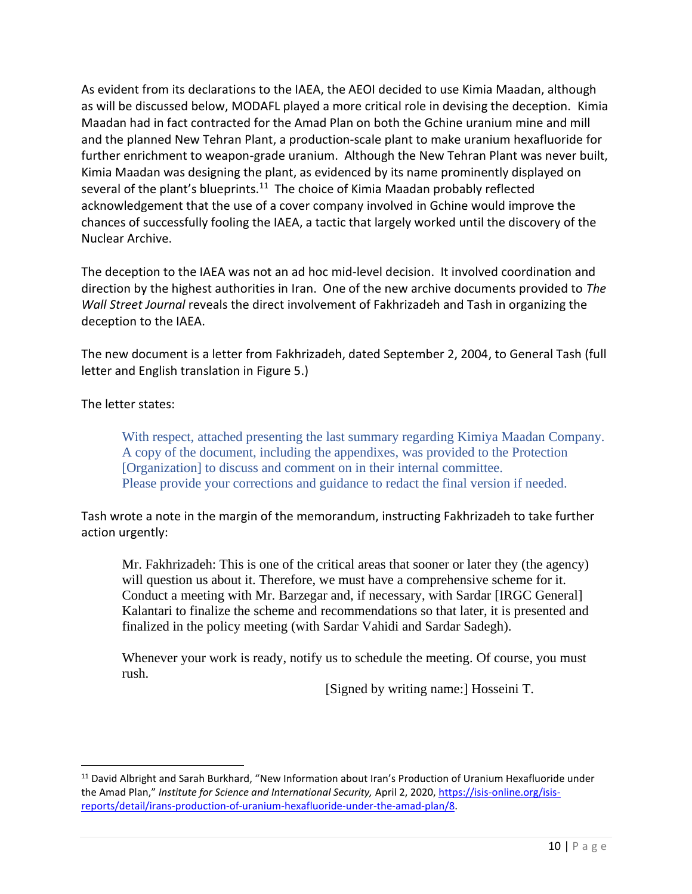As evident from its declarations to the IAEA, the AEOI decided to use Kimia Maadan, although as will be discussed below, MODAFL played a more critical role in devising the deception. Kimia Maadan had in fact contracted for the Amad Plan on both the Gchine uranium mine and mill and the planned New Tehran Plant, a production-scale plant to make uranium hexafluoride for further enrichment to weapon-grade uranium. Although the New Tehran Plant was never built, Kimia Maadan was designing the plant, as evidenced by its name prominently displayed on several of the plant's blueprints.<sup>11</sup> The choice of Kimia Maadan probably reflected acknowledgement that the use of a cover company involved in Gchine would improve the chances of successfully fooling the IAEA, a tactic that largely worked until the discovery of the Nuclear Archive.

The deception to the IAEA was not an ad hoc mid-level decision. It involved coordination and direction by the highest authorities in Iran. One of the new archive documents provided to *The Wall Street Journal* reveals the direct involvement of Fakhrizadeh and Tash in organizing the deception to the IAEA.

The new document is a letter from Fakhrizadeh, dated September 2, 2004, to General Tash (full letter and English translation in Figure 5.)

The letter states:

With respect, attached presenting the last summary regarding Kimiya Maadan Company. A copy of the document, including the appendixes, was provided to the Protection [Organization] to discuss and comment on in their internal committee. Please provide your corrections and guidance to redact the final version if needed.

Tash wrote a note in the margin of the memorandum, instructing Fakhrizadeh to take further action urgently:

Mr. Fakhrizadeh: This is one of the critical areas that sooner or later they (the agency) will question us about it. Therefore, we must have a comprehensive scheme for it. Conduct a meeting with Mr. Barzegar and, if necessary, with Sardar [IRGC General] Kalantari to finalize the scheme and recommendations so that later, it is presented and finalized in the policy meeting (with Sardar Vahidi and Sardar Sadegh).

Whenever your work is ready, notify us to schedule the meeting. Of course, you must rush.

[Signed by writing name:] Hosseini T.

<sup>&</sup>lt;sup>11</sup> David Albright and Sarah Burkhard, "New Information about Iran's Production of Uranium Hexafluoride under the Amad Plan," *Institute for Science and International Security,* April 2, 2020, [https://isis-online.org/isis](https://isis-online.org/isis-reports/detail/irans-production-of-uranium-hexafluoride-under-the-amad-plan/8)[reports/detail/irans-production-of-uranium-hexafluoride-under-the-amad-plan/8.](https://isis-online.org/isis-reports/detail/irans-production-of-uranium-hexafluoride-under-the-amad-plan/8)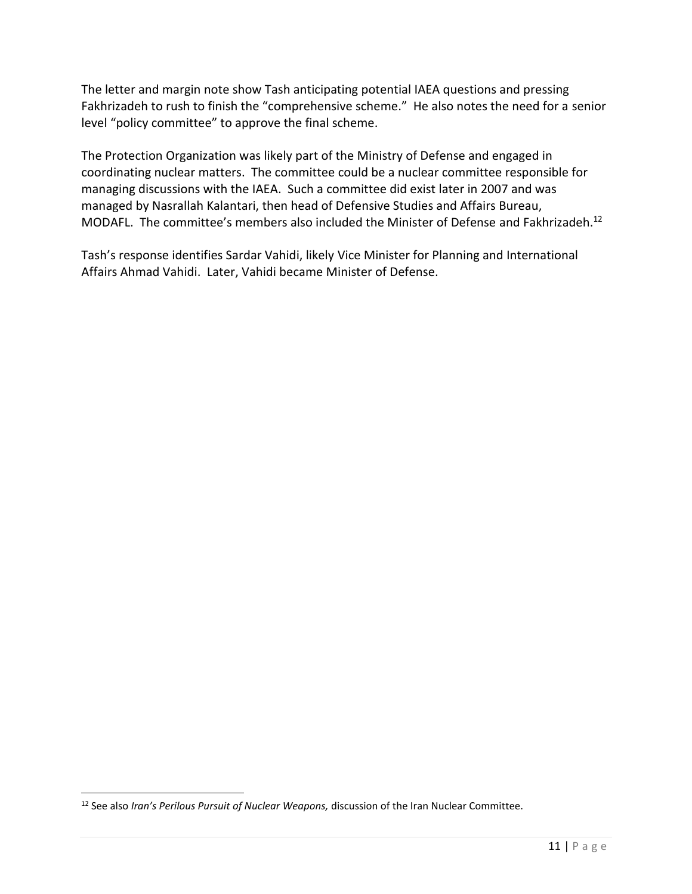The letter and margin note show Tash anticipating potential IAEA questions and pressing Fakhrizadeh to rush to finish the "comprehensive scheme." He also notes the need for a senior level "policy committee" to approve the final scheme.

The Protection Organization was likely part of the Ministry of Defense and engaged in coordinating nuclear matters. The committee could be a nuclear committee responsible for managing discussions with the IAEA. Such a committee did exist later in 2007 and was managed by Nasrallah Kalantari, then head of Defensive Studies and Affairs Bureau, MODAFL. The committee's members also included the Minister of Defense and Fakhrizadeh.<sup>12</sup>

Tash's response identifies Sardar Vahidi, likely Vice Minister for Planning and International Affairs Ahmad Vahidi. Later, Vahidi became Minister of Defense.

<sup>&</sup>lt;sup>12</sup> See also *Iran's Perilous Pursuit of Nuclear Weapons, discussion of the Iran Nuclear Committee.*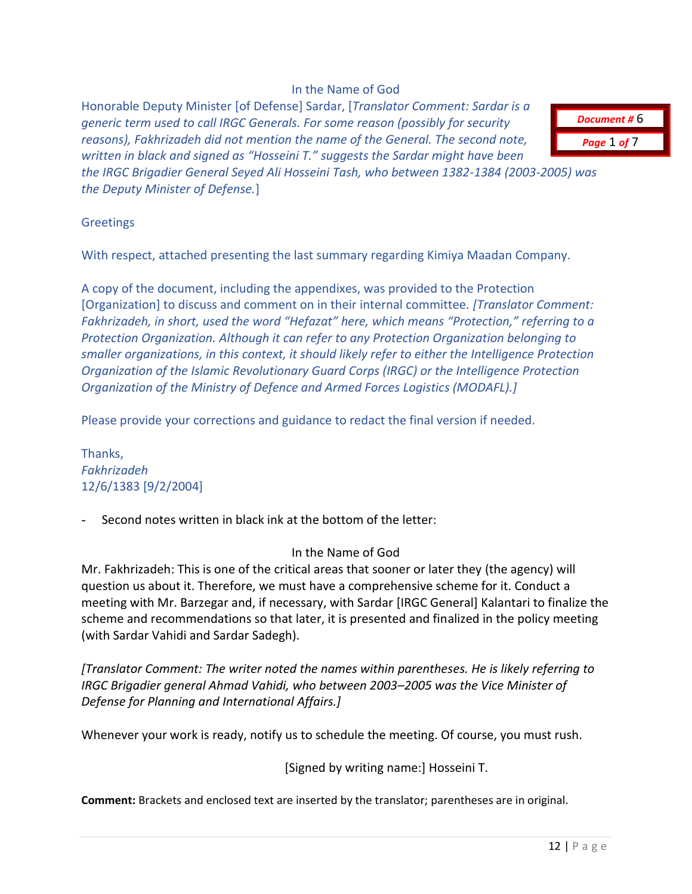## In the Name of God

Honorable Deputy Minister [of Defense] Sardar, [*Translator Comment: Sardar is a generic term used to call IRGC Generals. For some reason (possibly for security reasons), Fakhrizadeh did not mention the name of the General. The second note, written in black and signed as "Hosseini T." suggests the Sardar might have been the IRGC Brigadier General Seyed Ali Hosseini Tash, who between 1382-1384 (2003-2005) was* 

*the Deputy Minister of Defense.*]

#### **Greetings**

With respect, attached presenting the last summary regarding Kimiya Maadan Company.

A copy of the document, including the appendixes, was provided to the Protection [Organization] to discuss and comment on in their internal committee. *[Translator Comment: Fakhrizadeh, in short, used the word "Hefazat" here, which means "Protection," referring to a Protection Organization. Although it can refer to any Protection Organization belonging to smaller organizations, in this context, it should likely refer to either the Intelligence Protection Organization of the Islamic Revolutionary Guard Corps (IRGC) or the Intelligence Protection Organization of the Ministry of Defence and Armed Forces Logistics (MODAFL).]*

Please provide your corrections and guidance to redact the final version if needed.

Thanks, *Fakhrizadeh* 12/6/1383 [9/2/2004]

Second notes written in black ink at the bottom of the letter:

#### In the Name of God

Mr. Fakhrizadeh: This is one of the critical areas that sooner or later they (the agency) will question us about it. Therefore, we must have a comprehensive scheme for it. Conduct a meeting with Mr. Barzegar and, if necessary, with Sardar [IRGC General] Kalantari to finalize the scheme and recommendations so that later, it is presented and finalized in the policy meeting (with Sardar Vahidi and Sardar Sadegh).

*[Translator Comment: The writer noted the names within parentheses. He is likely referring to IRGC Brigadier general Ahmad Vahidi, who between 2003–2005 was the Vice Minister of Defense for Planning and International Affairs.]*

Whenever your work is ready, notify us to schedule the meeting. Of course, you must rush.

[Signed by writing name:] Hosseini T.

**Comment:** Brackets and enclosed text are inserted by the translator; parentheses are in original.

*Document #* 6 *Page* 1 *of* 7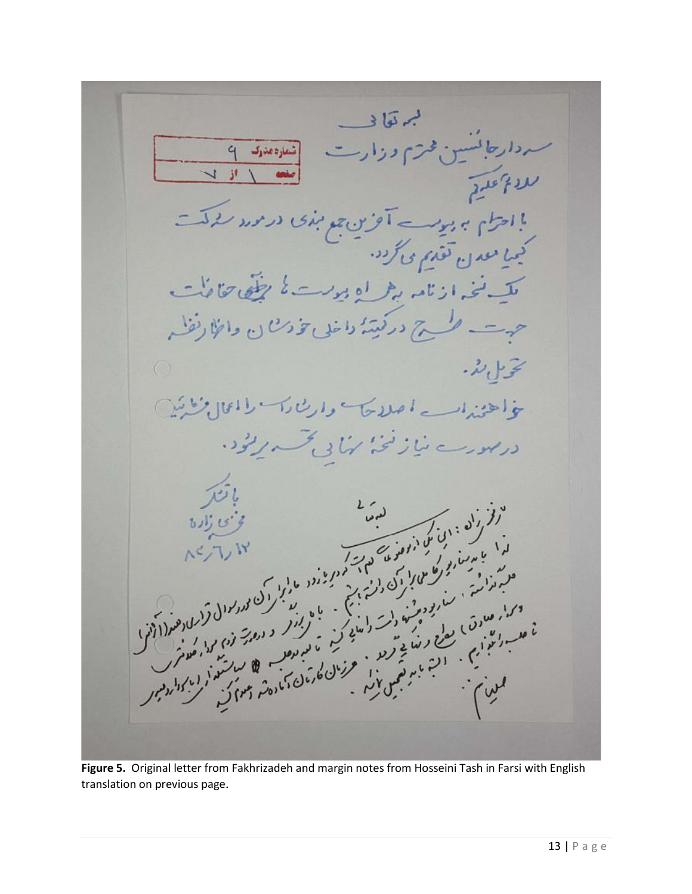لم قوا د ردارها نسس فمرسم ورارت  $\overline{q}$ | شماره مدرک  $\overline{v}$ ا **از** بااحتام ہورے آور ہے بندی در مردر کرکت<br>کیمیا معدن تقدیم می گ<sup>ردد .</sup><br>کیمیا معدن تقدیم می *گ<sup>ردد .</sup>* للآنخه ارتامه براه درست كالرفقا حنائف طرح درکتینهٔ داخلی تخ<sup>ورن</sup> ن وائلا  $\bigcap$ بحو ال لأ. خواهنداسه اصلاحا واربئارا والمالانشين در ہورے میاز گنجہ کہا ہی جسے پرکود، 

**Figure 5.** Original letter from Fakhrizadeh and margin notes from Hosseini Tash in Farsi with English translation on previous page.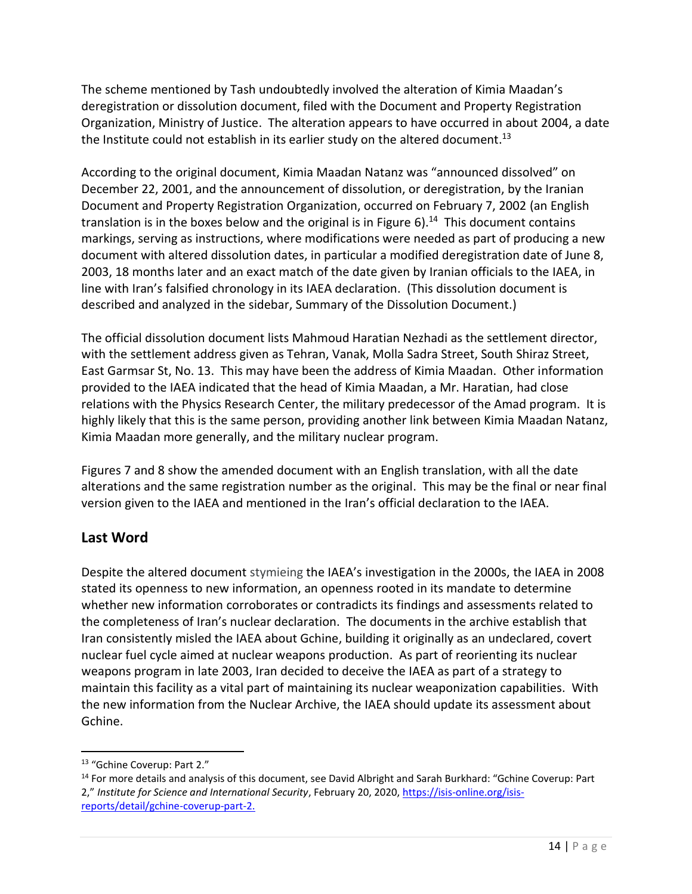The scheme mentioned by Tash undoubtedly involved the alteration of Kimia Maadan's deregistration or dissolution document, filed with the Document and Property Registration Organization, Ministry of Justice. The alteration appears to have occurred in about 2004, a date the Institute could not establish in its earlier study on the altered document.<sup>13</sup>

According to the original document, Kimia Maadan Natanz was "announced dissolved" on December 22, 2001, and the announcement of dissolution, or deregistration, by the Iranian Document and Property Registration Organization, occurred on February 7, 2002 (an English translation is in the boxes below and the original is in Figure 6).<sup>14</sup> This document contains markings, serving as instructions, where modifications were needed as part of producing a new document with altered dissolution dates, in particular a modified deregistration date of June 8, 2003, 18 months later and an exact match of the date given by Iranian officials to the IAEA, in line with Iran's falsified chronology in its IAEA declaration. (This dissolution document is described and analyzed in the sidebar, Summary of the Dissolution Document.)

The official dissolution document lists Mahmoud Haratian Nezhadi as the settlement director, with the settlement address given as Tehran, Vanak, Molla Sadra Street, South Shiraz Street, East Garmsar St, No. 13. This may have been the address of Kimia Maadan. Other information provided to the IAEA indicated that the head of Kimia Maadan, a Mr. Haratian, had close relations with the Physics Research Center, the military predecessor of the Amad program. It is highly likely that this is the same person, providing another link between Kimia Maadan Natanz, Kimia Maadan more generally, and the military nuclear program.

Figures 7 and 8 show the amended document with an English translation, with all the date alterations and the same registration number as the original. This may be the final or near final version given to the IAEA and mentioned in the Iran's official declaration to the IAEA.

## **Last Word**

Despite the altered document stymieing the IAEA's investigation in the 2000s, the IAEA in 2008 stated its openness to new information, an openness rooted in its mandate to determine whether new information corroborates or contradicts its findings and assessments related to the completeness of Iran's nuclear declaration. The documents in the archive establish that Iran consistently misled the IAEA about Gchine, building it originally as an undeclared, covert nuclear fuel cycle aimed at nuclear weapons production. As part of reorienting its nuclear weapons program in late 2003, Iran decided to deceive the IAEA as part of a strategy to maintain this facility as a vital part of maintaining its nuclear weaponization capabilities. With the new information from the Nuclear Archive, the IAEA should update its assessment about Gchine.

<sup>&</sup>lt;sup>13</sup> "Gchine Coverup: Part 2."

<sup>&</sup>lt;sup>14</sup> For more details and analysis of this document, see David Albright and Sarah Burkhard: "Gchine Coverup: Part 2," *Institute for Science and International Security*, February 20, 2020, [https://isis-online.org/isis](https://isis-online.org/isis-reports/detail/gchine-coverup-part-2)[reports/detail/gchine-coverup-part-2.](https://isis-online.org/isis-reports/detail/gchine-coverup-part-2)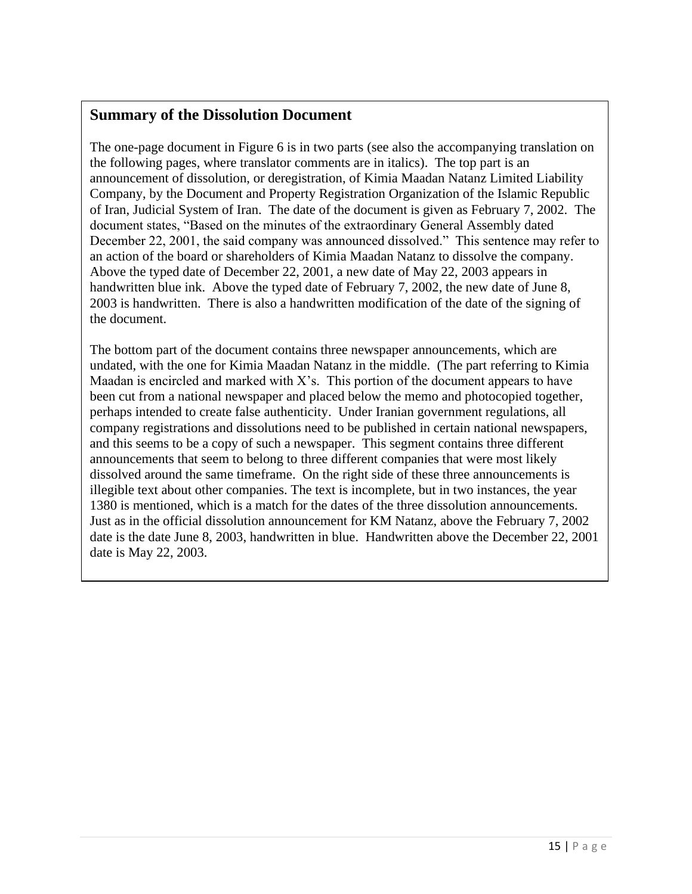## **Summary of the Dissolution Document**

The one-page document in Figure 6 is in two parts (see also the accompanying translation on the following pages, where translator comments are in italics). The top part is an announcement of dissolution, or deregistration, of Kimia Maadan Natanz Limited Liability Company, by the Document and Property Registration Organization of the Islamic Republic of Iran, Judicial System of Iran. The date of the document is given as February 7, 2002. The document states, "Based on the minutes of the extraordinary General Assembly dated December 22, 2001, the said company was announced dissolved." This sentence may refer to an action of the board or shareholders of Kimia Maadan Natanz to dissolve the company. Above the typed date of December 22, 2001, a new date of May 22, 2003 appears in handwritten blue ink. Above the typed date of February 7, 2002, the new date of June 8, 2003 is handwritten. There is also a handwritten modification of the date of the signing of the document.

The bottom part of the document contains three newspaper announcements, which are undated, with the one for Kimia Maadan Natanz in the middle. (The part referring to Kimia Maadan is encircled and marked with  $X$ 's. This portion of the document appears to have been cut from a national newspaper and placed below the memo and photocopied together, perhaps intended to create false authenticity. Under Iranian government regulations, all company registrations and dissolutions need to be published in certain national newspapers, and this seems to be a copy of such a newspaper. This segment contains three different announcements that seem to belong to three different companies that were most likely dissolved around the same timeframe. On the right side of these three announcements is illegible text about other companies. The text is incomplete, but in two instances, the year 1380 is mentioned, which is a match for the dates of the three dissolution announcements. Just as in the official dissolution announcement for KM Natanz, above the February 7, 2002 date is the date June 8, 2003, handwritten in blue. Handwritten above the December 22, 2001 date is May 22, 2003.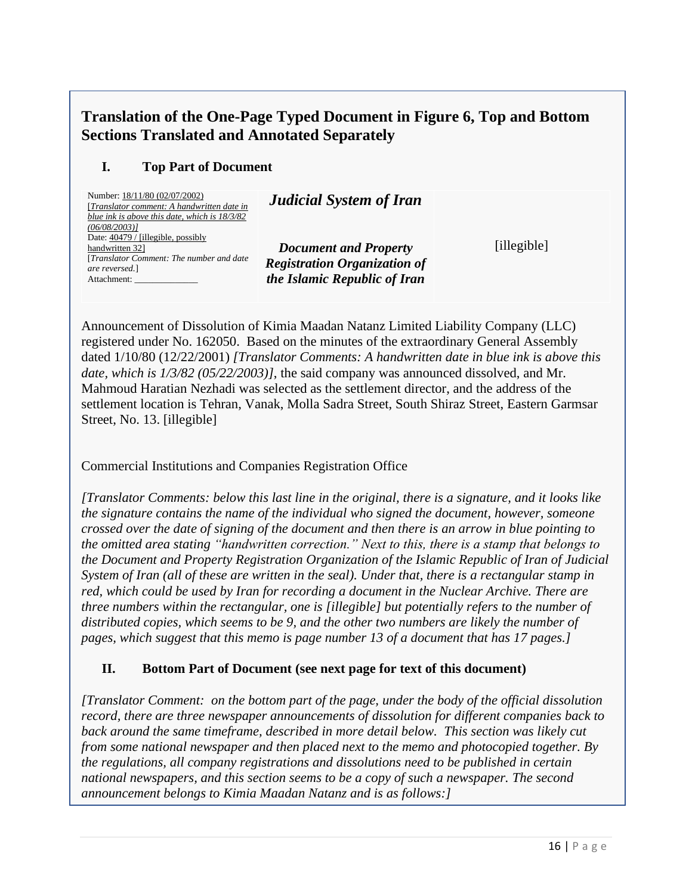# **Translation of the One-Page Typed Document in Figure 6, Top and Bottom Sections Translated and Annotated Separately**

## **I. Top Part of Document**

| Number: 18/11/80 (02/07/2002)<br>[Translator comment: A handwritten date in<br>blue ink is above this date, which is 18/3/82 | <b>Judicial System of Iran</b>                                      |
|------------------------------------------------------------------------------------------------------------------------------|---------------------------------------------------------------------|
| (06/08/2003)<br>Date: 40479 / [illegible, possibly<br>handwritten 321                                                        | <b>Document and Property</b>                                        |
| [Translator Comment: The number and date]<br>are reversed.]<br>Attachment:                                                   | <b>Registration Organization of</b><br>the Islamic Republic of Iran |

Announcement of Dissolution of Kimia Maadan Natanz Limited Liability Company (LLC) registered under No. 162050. Based on the minutes of the extraordinary General Assembly dated 1/10/80 (12/22/2001) *[Translator Comments: A handwritten date in blue ink is above this date, which is 1/3/82 (05/22/2003)]*, the said company was announced dissolved, and Mr. Mahmoud Haratian Nezhadi was selected as the settlement director, and the address of the settlement location is Tehran, Vanak, Molla Sadra Street, South Shiraz Street, Eastern Garmsar Street, No. 13. [illegible]

Commercial Institutions and Companies Registration Office

*[Translator Comments: below this last line in the original, there is a signature, and it looks like the signature contains the name of the individual who signed the document, however, someone crossed over the date of signing of the document and then there is an arrow in blue pointing to the omitted area stating "handwritten correction." Next to this, there is a stamp that belongs to the Document and Property Registration Organization of the Islamic Republic of Iran of Judicial System of Iran (all of these are written in the seal). Under that, there is a rectangular stamp in red, which could be used by Iran for recording a document in the Nuclear Archive. There are three numbers within the rectangular, one is [illegible] but potentially refers to the number of distributed copies, which seems to be 9, and the other two numbers are likely the number of pages, which suggest that this memo is page number 13 of a document that has 17 pages.]*

## **II. Bottom Part of Document (see next page for text of this document)**

*[Translator Comment: on the bottom part of the page, under the body of the official dissolution record, there are three newspaper announcements of dissolution for different companies back to back around the same timeframe, described in more detail below. This section was likely cut from some national newspaper and then placed next to the memo and photocopied together. By the regulations, all company registrations and dissolutions need to be published in certain national newspapers, and this section seems to be a copy of such a newspaper. The second announcement belongs to Kimia Maadan Natanz and is as follows:]*

[illegible]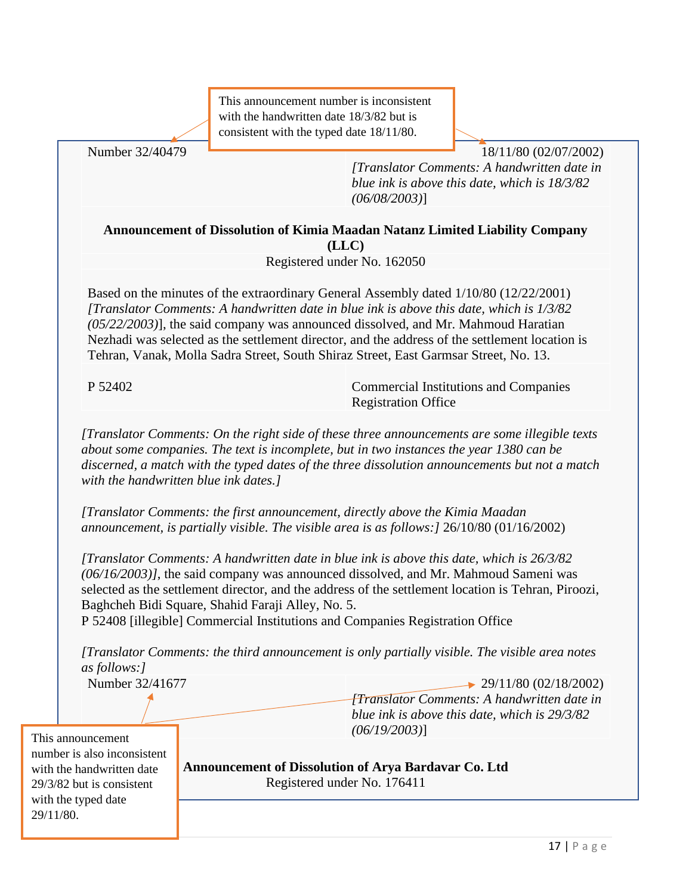This announcement number is inconsistent with the handwritten date 18/3/82 but is consistent with the typed date 18/11/80.

Number 32/40479 **18/11/80 (02/07/2002)** 

*[Translator Comments: A handwritten date in blue ink is above this date, which is 18/3/82 (06/08/2003)*]

**Announcement of Dissolution of Kimia Maadan Natanz Limited Liability Company (LLC)**

Registered under No. 162050

Based on the minutes of the extraordinary General Assembly dated 1/10/80 (12/22/2001) *[Translator Comments: A handwritten date in blue ink is above this date, which is 1/3/82 (05/22/2003)*], the said company was announced dissolved, and Mr. Mahmoud Haratian Nezhadi was selected as the settlement director, and the address of the settlement location is Tehran, Vanak, Molla Sadra Street, South Shiraz Street, East Garmsar Street, No. 13.

P 52402 Commercial Institutions and Companies Registration Office

*[Translator Comments: On the right side of these three announcements are some illegible texts about some companies. The text is incomplete, but in two instances the year 1380 can be discerned, a match with the typed dates of the three dissolution announcements but not a match with the handwritten blue ink dates.]*

*[Translator Comments: the first announcement, directly above the Kimia Maadan announcement, is partially visible. The visible area is as follows:]* 26/10/80 (01/16/2002)

*[Translator Comments: A handwritten date in blue ink is above this date, which is 26/3/82 (06/16/2003)]*, the said company was announced dissolved, and Mr. Mahmoud Sameni was selected as the settlement director, and the address of the settlement location is Tehran, Piroozi, Baghcheh Bidi Square, Shahid Faraji Alley, No. 5.

P 52408 [illegible] Commercial Institutions and Companies Registration Office

*[Translator Comments: the third announcement is only partially visible. The visible area notes as follows:]*

Number 32/41677 29/11/80 (02/18/2002) *[Translator Comments: A handwritten date in blue ink is above this date, which is 29/3/82 (06/19/2003)*]

This announcement number is also inconsistent with the handwritten date 29/3/82 but is consistent with the typed date 29/11/80.

**Announcement of Dissolution of Arya Bardavar Co. Ltd** Registered under No. 176411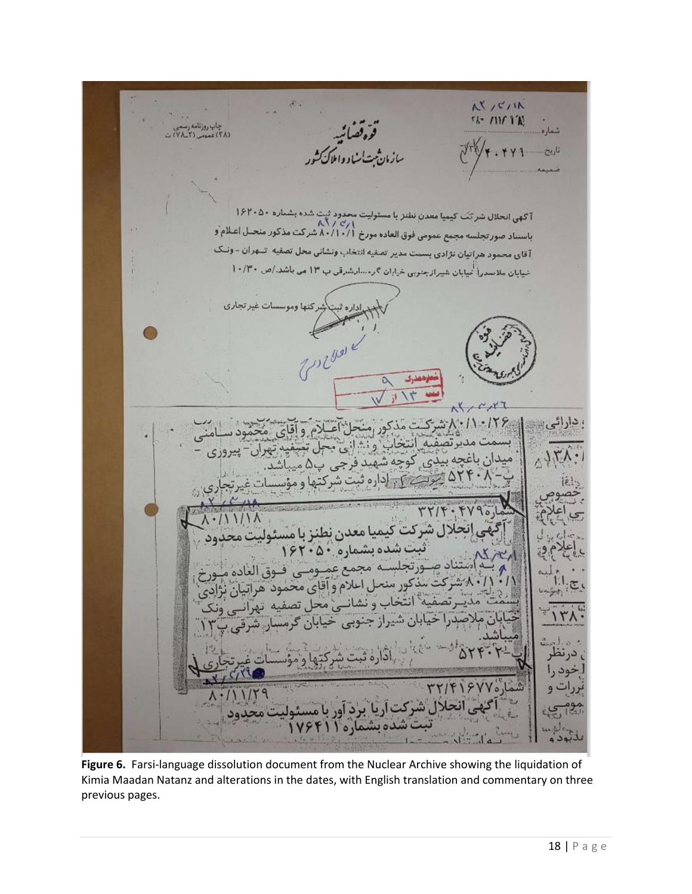AVICIIN  $5k - 111f$  1'A! چاپ روزنامه ر قرەقصائىيە<br>ئەتساساد واملاك آگهی انحلال شرکت کیمیا معدن نشتر با مسئولیت محدود ثبت شده بشماره ۱۶۲۰۵۰<br>۸.۲ /۷٫۱<br>باستناد صورتجلسه مجمع عمومی فوق العاده مورخ ۸۰/۱۰/۱ شرکت مذکور منحـل اعـلام ّو .<br>آقای محمود هراتیان نژادی بسست مدیر تصفیه انتخاب ونشانی محل تصفیه تسهران - ونسک شیابان سلاسدرا کیابان شیراز جنوبی خیابان گرمسارشرقی ب ۱۳ می باشد./ص ۱۰/۳۰ ما وموسسات غیر تجاری ومعذرى شركت مذكور منحل آعيلام وأقاى محمود .159 دارائے 'بسمت مدیر تصفیہ''انتخاب' و نشانی بھی کہ وہای محمود سےمنا<br>میدان باغچه بیڈی کوچه شهید فرجی پ6 میباشد.<br>میدان باغچه بیڈی کوچه شهید فرجی پ6 میباشد. ۵۲۴۰*) یونے <del>کی ادارہ ثبت شرکت</del>ھا و مؤس* سات غ غیه انتخاب و نشانسی محل تصفیه تهرانسی وزن<br>نقیه انتخاب و نشانسی محل تصفیه تهرانسی ونک یابان شیراز جنوبی خیابان کرمسا<sub>ر،</sub> شرقی پ ن. TTIFISYY' ی انحلال شرکت آریا برد آور با مس ت شده بشماره ۱

**Figure 6.** Farsi-language dissolution document from the Nuclear Archive showing the liquidation of Kimia Maadan Natanz and alterations in the dates, with English translation and commentary on three previous pages.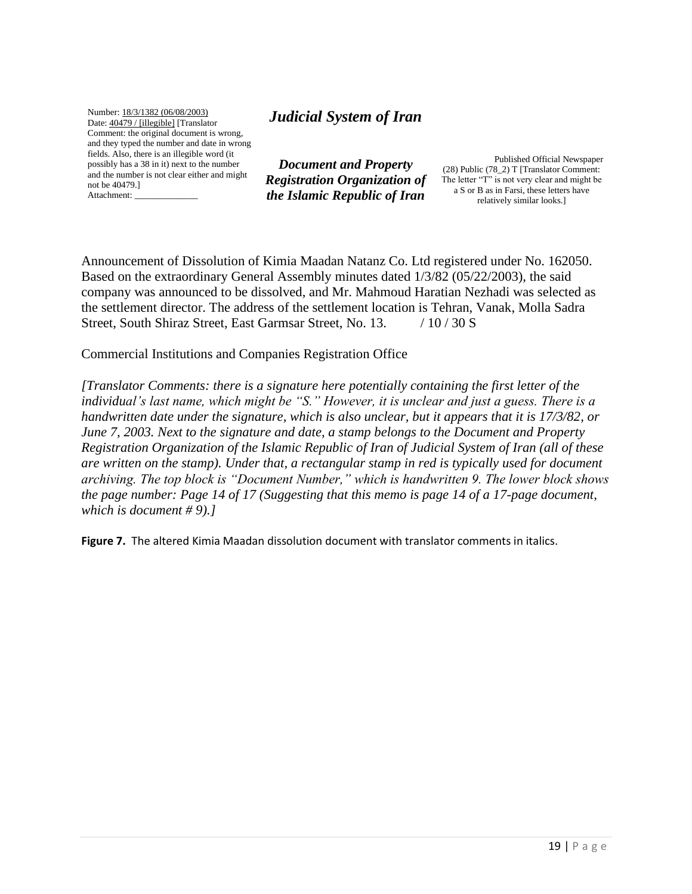Number: 18/3/1382 (06/08/2003) Date: 40479 / [illegible] [Translator Comment: the original document is wrong, and they typed the number and date in wrong fields. Also, there is an illegible word (it possibly has a 38 in it) next to the number and the number is not clear either and might not be 40479.] Attachment: \_\_\_\_\_\_\_\_\_\_\_\_\_\_

## *Judicial System of Iran*

*Document and Property Registration Organization of the Islamic Republic of Iran*

 Published Official Newspaper (28) Public (78\_2) T [Translator Comment: The letter "T" is not very clear and might be a S or B as in Farsi, these letters have relatively similar looks.]

Announcement of Dissolution of Kimia Maadan Natanz Co. Ltd registered under No. 162050. Based on the extraordinary General Assembly minutes dated 1/3/82 (05/22/2003), the said company was announced to be dissolved, and Mr. Mahmoud Haratian Nezhadi was selected as the settlement director. The address of the settlement location is Tehran, Vanak, Molla Sadra Street, South Shiraz Street, East Garmsar Street, No. 13. / 10/30 S

Commercial Institutions and Companies Registration Office

*[Translator Comments: there is a signature here potentially containing the first letter of the individual's last name, which might be "S." However, it is unclear and just a guess. There is a handwritten date under the signature, which is also unclear, but it appears that it is 17/3/82, or June 7, 2003. Next to the signature and date, a stamp belongs to the Document and Property Registration Organization of the Islamic Republic of Iran of Judicial System of Iran (all of these are written on the stamp). Under that, a rectangular stamp in red is typically used for document archiving. The top block is "Document Number," which is handwritten 9. The lower block shows the page number: Page 14 of 17 (Suggesting that this memo is page 14 of a 17-page document, which is document # 9).]*

**Figure 7.** The altered Kimia Maadan dissolution document with translator comments in italics.